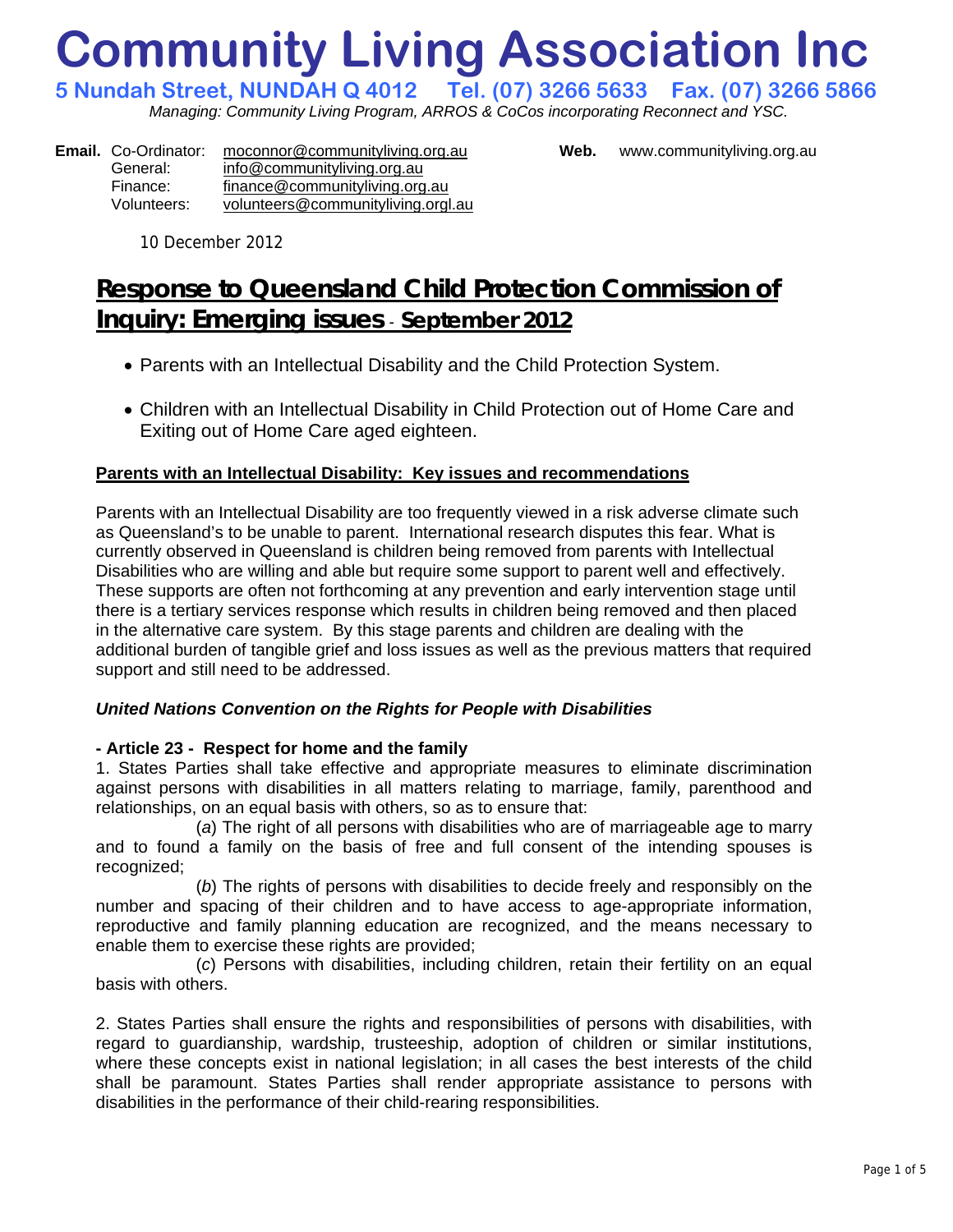# **Community Living Association Inc**

**5 Nundah Street, NUNDAH Q 4012 Tel. (07) 3266 5633 Fax. (07) 3266 5866**  *Managing: Community Living Program, ARROS & CoCos incorporating Reconnect and YSC.* 

**Email.** Co-Ordinator: [moconnor@communityliving.org.au](mailto:moconnor@communityliving.org.au) **Web.** [www.communityliving.org.au](http://www.communityliving.org.au/) General: [info@communityliving.org.au](mailto:info@communityliving.org.au) Finance: [finance@communityliving.org.au](mailto:finance@communityliving.org.au) Volunteers: [volunteers@communityliving.orgl.au](mailto:volunteers@communityliving.orgl.au)

10 December 2012

# **Response to Queensland Child Protection Commission of Inquiry: Emerging issues** - **September 2012**

- Parents with an Intellectual Disability and the Child Protection System.
- Children with an Intellectual Disability in Child Protection out of Home Care and Exiting out of Home Care aged eighteen.

# **Parents with an Intellectual Disability: Key issues and recommendations**

Parents with an Intellectual Disability are too frequently viewed in a risk adverse climate such as Queensland's to be unable to parent. International research disputes this fear. What is currently observed in Queensland is children being removed from parents with Intellectual Disabilities who are willing and able but require some support to parent well and effectively. These supports are often not forthcoming at any prevention and early intervention stage until there is a tertiary services response which results in children being removed and then placed in the alternative care system. By this stage parents and children are dealing with the additional burden of tangible grief and loss issues as well as the previous matters that required support and still need to be addressed.

# *United Nations Convention on the Rights for People with Disabilities*

## **- Article 23 - Respect for home and the family**

1. States Parties shall take effective and appropriate measures to eliminate discrimination against persons with disabilities in all matters relating to marriage, family, parenthood and relationships, on an equal basis with others, so as to ensure that:

(*a*) The right of all persons with disabilities who are of marriageable age to marry and to found a family on the basis of free and full consent of the intending spouses is recognized;

(*b*) The rights of persons with disabilities to decide freely and responsibly on the number and spacing of their children and to have access to age-appropriate information, reproductive and family planning education are recognized, and the means necessary to enable them to exercise these rights are provided;

(*c*) Persons with disabilities, including children, retain their fertility on an equal basis with others.

2. States Parties shall ensure the rights and responsibilities of persons with disabilities, with regard to guardianship, wardship, trusteeship, adoption of children or similar institutions, where these concepts exist in national legislation; in all cases the best interests of the child shall be paramount. States Parties shall render appropriate assistance to persons with disabilities in the performance of their child-rearing responsibilities.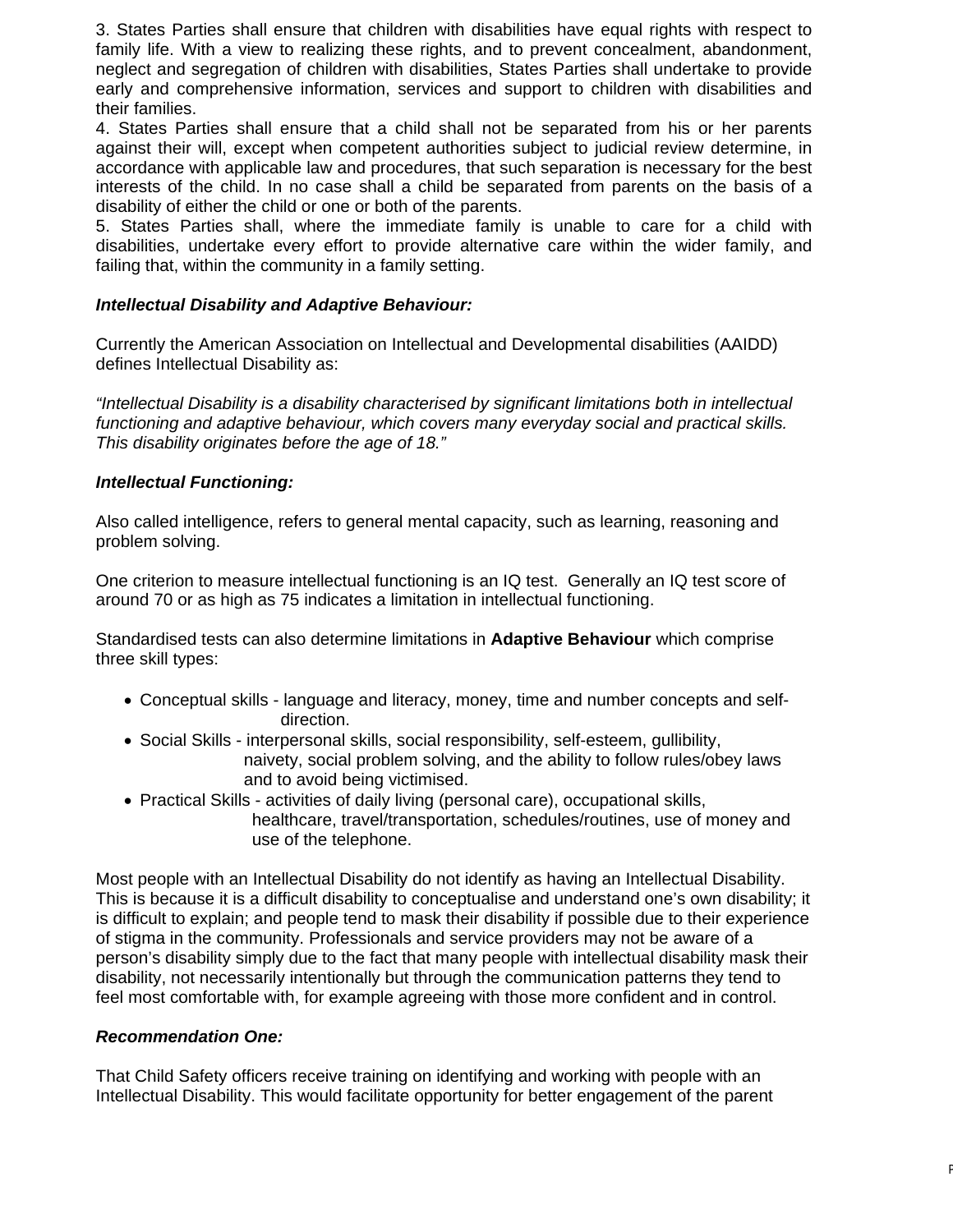3. States Parties shall ensure that children with disabilities have equal rights with respect to family life. With a view to realizing these rights, and to prevent concealment, abandonment, neglect and segregation of children with disabilities, States Parties shall undertake to provide early and comprehensive information, services and support to children with disabilities and their families.

4. States Parties shall ensure that a child shall not be separated from his or her parents against their will, except when competent authorities subject to judicial review determine, in accordance with applicable law and procedures, that such separation is necessary for the best interests of the child. In no case shall a child be separated from parents on the basis of a disability of either the child or one or both of the parents.

5. States Parties shall, where the immediate family is unable to care for a child with disabilities, undertake every effort to provide alternative care within the wider family, and failing that, within the community in a family setting.

#### *Intellectual Disability and Adaptive Behaviour:*

Currently the American Association on Intellectual and Developmental disabilities (AAIDD) defines Intellectual Disability as:

*"Intellectual Disability is a disability characterised by significant limitations both in intellectual functioning and adaptive behaviour, which covers many everyday social and practical skills. This disability originates before the age of 18."* 

#### *Intellectual Functioning:*

Also called intelligence, refers to general mental capacity, such as learning, reasoning and problem solving.

One criterion to measure intellectual functioning is an IQ test. Generally an IQ test score of around 70 or as high as 75 indicates a limitation in intellectual functioning.

Standardised tests can also determine limitations in **Adaptive Behaviour** which comprise three skill types:

- Conceptual skills language and literacy, money, time and number concepts and self direction.
- Social Skills interpersonal skills, social responsibility, self-esteem, gullibility, naivety, social problem solving, and the ability to follow rules/obey laws and to avoid being victimised.
- Practical Skills activities of daily living (personal care), occupational skills, healthcare, travel/transportation, schedules/routines, use of money and use of the telephone.

Most people with an Intellectual Disability do not identify as having an Intellectual Disability. This is because it is a difficult disability to conceptualise and understand one's own disability; it is difficult to explain; and people tend to mask their disability if possible due to their experience of stigma in the community. Professionals and service providers may not be aware of a person's disability simply due to the fact that many people with intellectual disability mask their disability, not necessarily intentionally but through the communication patterns they tend to feel most comfortable with, for example agreeing with those more confident and in control.

#### *Recommendation One:*

That Child Safety officers receive training on identifying and working with people with an Intellectual Disability. This would facilitate opportunity for better engagement of the parent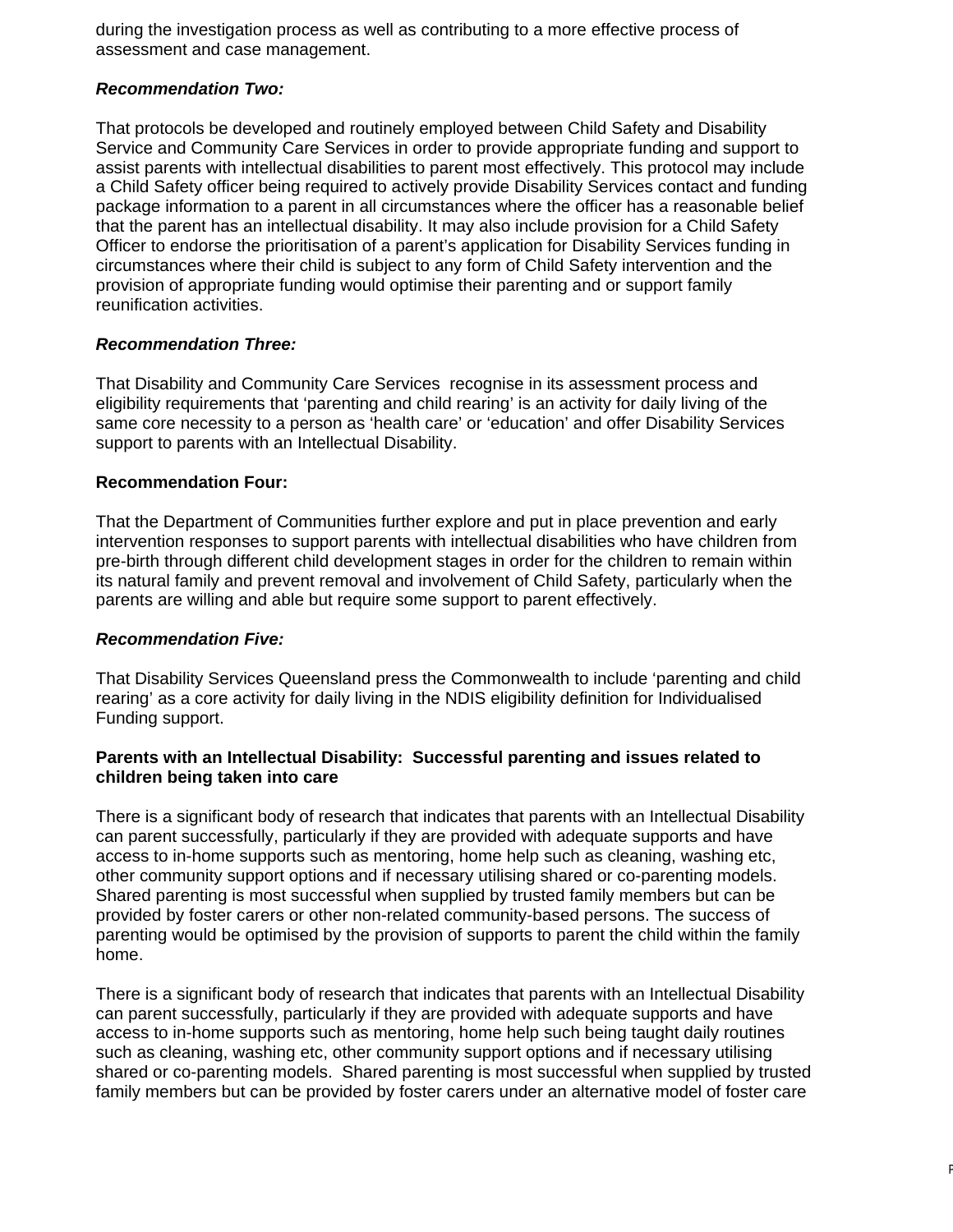during the investigation process as well as contributing to a more effective process of assessment and case management.

#### *Recommendation Two:*

That protocols be developed and routinely employed between Child Safety and Disability Service and Community Care Services in order to provide appropriate funding and support to assist parents with intellectual disabilities to parent most effectively. This protocol may include a Child Safety officer being required to actively provide Disability Services contact and funding package information to a parent in all circumstances where the officer has a reasonable belief that the parent has an intellectual disability. It may also include provision for a Child Safety Officer to endorse the prioritisation of a parent's application for Disability Services funding in circumstances where their child is subject to any form of Child Safety intervention and the provision of appropriate funding would optimise their parenting and or support family reunification activities.

#### *Recommendation Three:*

That Disability and Community Care Services recognise in its assessment process and eligibility requirements that 'parenting and child rearing' is an activity for daily living of the same core necessity to a person as 'health care' or 'education' and offer Disability Services support to parents with an Intellectual Disability.

#### **Recommendation Four:**

That the Department of Communities further explore and put in place prevention and early intervention responses to support parents with intellectual disabilities who have children from pre-birth through different child development stages in order for the children to remain within its natural family and prevent removal and involvement of Child Safety, particularly when the parents are willing and able but require some support to parent effectively.

#### *Recommendation Five:*

That Disability Services Queensland press the Commonwealth to include 'parenting and child rearing' as a core activity for daily living in the NDIS eligibility definition for Individualised Funding support.

#### **Parents with an Intellectual Disability: Successful parenting and issues related to children being taken into care**

There is a significant body of research that indicates that parents with an Intellectual Disability can parent successfully, particularly if they are provided with adequate supports and have access to in-home supports such as mentoring, home help such as cleaning, washing etc, other community support options and if necessary utilising shared or co-parenting models. Shared parenting is most successful when supplied by trusted family members but can be provided by foster carers or other non-related community-based persons. The success of parenting would be optimised by the provision of supports to parent the child within the family home.

There is a significant body of research that indicates that parents with an Intellectual Disability can parent successfully, particularly if they are provided with adequate supports and have access to in-home supports such as mentoring, home help such being taught daily routines such as cleaning, washing etc, other community support options and if necessary utilising shared or co-parenting models. Shared parenting is most successful when supplied by trusted family members but can be provided by foster carers under an alternative model of foster care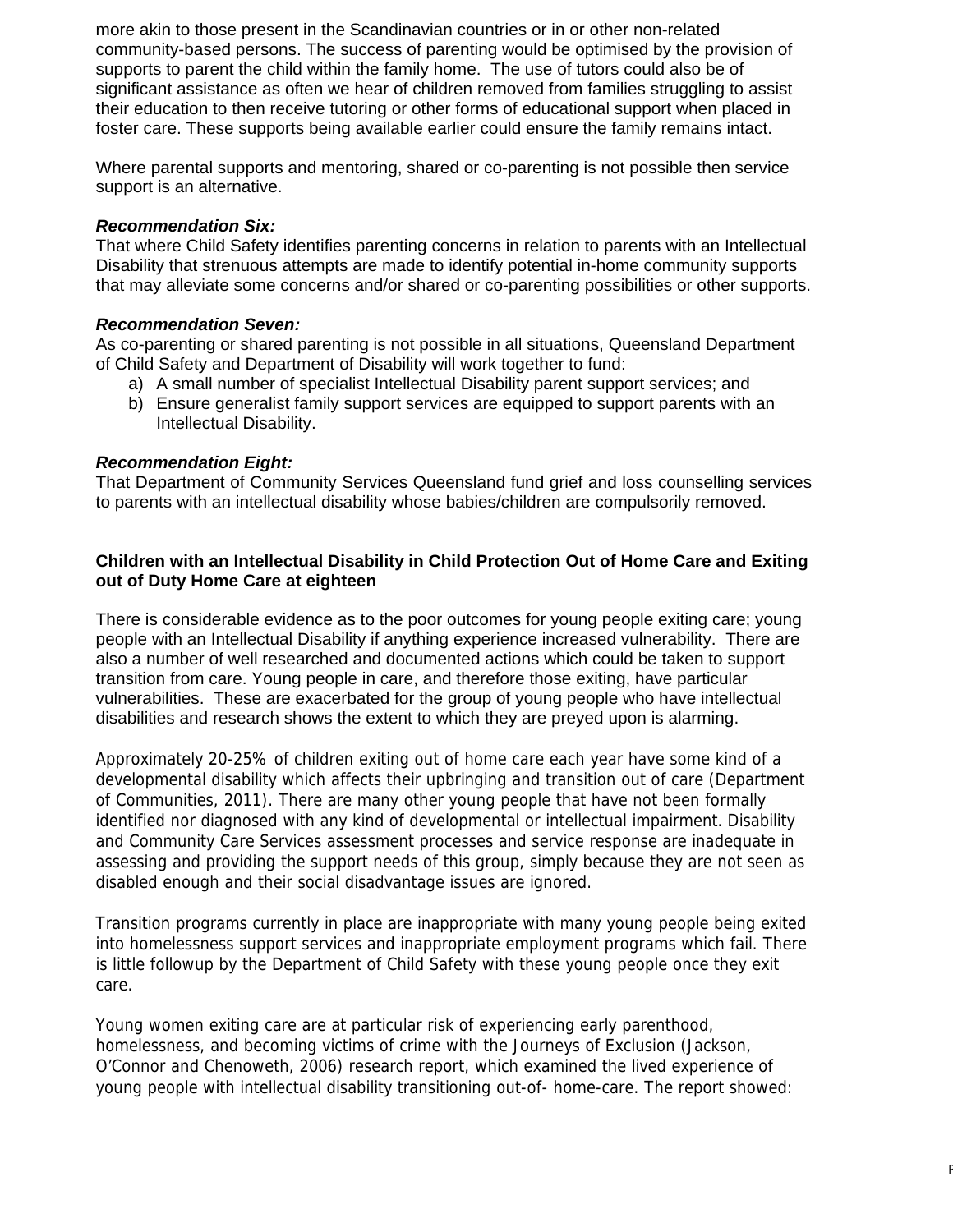more akin to those present in the Scandinavian countries or in or other non-related community-based persons. The success of parenting would be optimised by the provision of supports to parent the child within the family home. The use of tutors could also be of significant assistance as often we hear of children removed from families struggling to assist their education to then receive tutoring or other forms of educational support when placed in foster care. These supports being available earlier could ensure the family remains intact.

Where parental supports and mentoring, shared or co-parenting is not possible then service support is an alternative.

#### *Recommendation Six:*

That where Child Safety identifies parenting concerns in relation to parents with an Intellectual Disability that strenuous attempts are made to identify potential in-home community supports that may alleviate some concerns and/or shared or co-parenting possibilities or other supports.

#### *Recommendation Seven:*

As co-parenting or shared parenting is not possible in all situations, Queensland Department of Child Safety and Department of Disability will work together to fund:

- a) A small number of specialist Intellectual Disability parent support services; and
- b) Ensure generalist family support services are equipped to support parents with an Intellectual Disability.

#### *Recommendation Eight:*

That Department of Community Services Queensland fund grief and loss counselling services to parents with an intellectual disability whose babies/children are compulsorily removed.

#### **Children with an Intellectual Disability in Child Protection Out of Home Care and Exiting out of Duty Home Care at eighteen**

There is considerable evidence as to the poor outcomes for young people exiting care; young people with an Intellectual Disability if anything experience increased vulnerability. There are also a number of well researched and documented actions which could be taken to support transition from care. Young people in care, and therefore those exiting, have particular vulnerabilities. These are exacerbated for the group of young people who have intellectual disabilities and research shows the extent to which they are preyed upon is alarming.

Approximately 20-25% of children exiting out of home care each year have some kind of a developmental disability which affects their upbringing and transition out of care (Department of Communities, 2011). There are many other young people that have not been formally identified nor diagnosed with any kind of developmental or intellectual impairment. Disability and Community Care Services assessment processes and service response are inadequate in assessing and providing the support needs of this group, simply because they are not seen as disabled enough and their social disadvantage issues are ignored.

Transition programs currently in place are inappropriate with many young people being exited into homelessness support services and inappropriate employment programs which fail. There is little followup by the Department of Child Safety with these young people once they exit care.

Young women exiting care are at particular risk of experiencing early parenthood, homelessness, and becoming victims of crime with the Journeys of Exclusion (Jackson, O'Connor and Chenoweth, 2006) research report, which examined the lived experience of young people with intellectual disability transitioning out-of- home-care. The report showed: